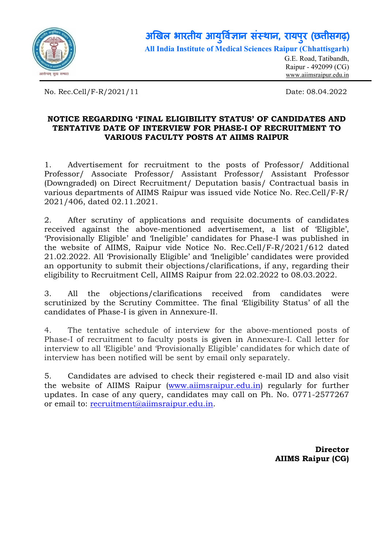

## अखिल भारतीय आयुर्विज्ञान संस्थान, रायपुर (छत्तीसगढ़) ु All India Institute of Medical Sciences Raipur (Chhattisgarh)

G.E. Road, Tatibandh, Raipur - 492099 (CG) www.aiimsraipur.edu.in

No. Rec.Cell/F-R/2021/11 Date: 08.04.2022

## NOTICE REGARDING 'FINAL ELIGIBILITY STATUS' OF CANDIDATES AND TENTATIVE DATE OF INTERVIEW FOR PHASE-I OF RECRUITMENT TO VARIOUS FACULTY POSTS AT AIIMS RAIPUR

1. Advertisement for recruitment to the posts of Professor/ Additional Professor/ Associate Professor/ Assistant Professor/ Assistant Professor (Downgraded) on Direct Recruitment/ Deputation basis/ Contractual basis in various departments of AIIMS Raipur was issued vide Notice No. Rec.Cell/F-R/ 2021/406, dated 02.11.2021.

2. After scrutiny of applications and requisite documents of candidates received against the above-mentioned advertisement, a list of 'Eligible', 'Provisionally Eligible' and 'Ineligible' candidates for Phase-I was published in the website of AIIMS, Raipur vide Notice No. Rec.Cell/F-R/2021/612 dated 21.02.2022. All 'Provisionally Eligible' and 'Ineligible' candidates were provided an opportunity to submit their objections/clarifications, if any, regarding their eligibility to Recruitment Cell, AIIMS Raipur from 22.02.2022 to 08.03.2022.

3. All the objections/clarifications received from candidates were scrutinized by the Scrutiny Committee. The final 'Eligibility Status' of all the candidates of Phase-I is given in Annexure-II.

4. The tentative schedule of interview for the above-mentioned posts of Phase-I of recruitment to faculty posts is given in Annexure-I. Call letter for interview to all 'Eligible' and 'Provisionally Eligible' candidates for which date of interview has been notified will be sent by email only separately.

5. Candidates are advised to check their registered e-mail ID and also visit the website of AIIMS Raipur (www.aiimsraipur.edu.in) regularly for further updates. In case of any query, candidates may call on Ph. No. 0771-2577267 or email to: recruitment@aiimsraipur.edu.in.

> Director AIIMS Raipur (CG)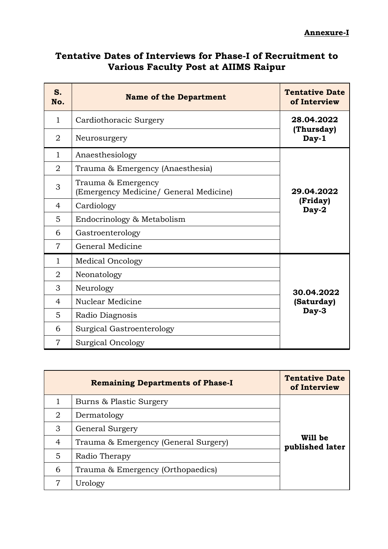## Tentative Dates of Interviews for Phase-I of Recruitment to Various Faculty Post at AIIMS Raipur

| S.<br>No.      | <b>Name of the Department</b>                                | <b>Tentative Date</b><br>of Interview |
|----------------|--------------------------------------------------------------|---------------------------------------|
| $\mathbf{1}$   | Cardiothoracic Surgery                                       | 28.04.2022                            |
| $\overline{2}$ | Neurosurgery                                                 | (Thursday)<br>Day-1                   |
| $\mathbf{1}$   | Anaesthesiology                                              |                                       |
| $\overline{2}$ | Trauma & Emergency (Anaesthesia)                             |                                       |
| 3              | Trauma & Emergency<br>(Emergency Medicine/ General Medicine) | 29.04.2022                            |
| 4              | Cardiology                                                   | (Friday)<br>Day-2                     |
| 5              | Endocrinology & Metabolism                                   |                                       |
| 6              | Gastroenterology                                             |                                       |
| $\overline{7}$ | General Medicine                                             |                                       |
| $\mathbf{1}$   | <b>Medical Oncology</b>                                      |                                       |
| 2              | Neonatology                                                  |                                       |
| 3              | Neurology                                                    | 30.04.2022                            |
| $\overline{4}$ | Nuclear Medicine                                             | (Saturday)                            |
| 5              | Radio Diagnosis                                              | Day-3                                 |
| 6              | Surgical Gastroenterology                                    |                                       |
| $\overline{7}$ | <b>Surgical Oncology</b>                                     |                                       |

|   | <b>Remaining Departments of Phase-I</b> | <b>Tentative Date</b><br>of Interview |
|---|-----------------------------------------|---------------------------------------|
|   | Burns & Plastic Surgery                 |                                       |
| 2 | Dermatology                             |                                       |
| 3 | <b>General Surgery</b>                  |                                       |
| 4 | Trauma & Emergency (General Surgery)    | Will be<br>published later            |
| 5 | Radio Therapy                           |                                       |
| 6 | Trauma & Emergency (Orthopaedics)       |                                       |
| 7 | Urology                                 |                                       |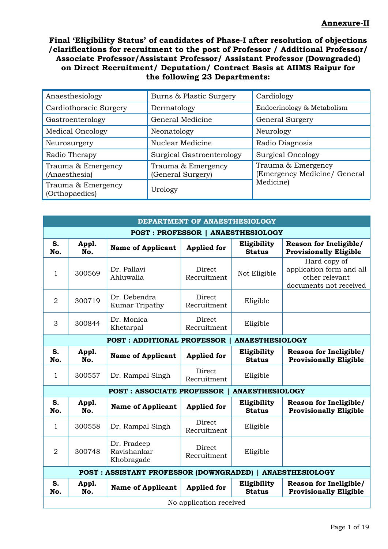Final 'Eligibility Status' of candidates of Phase-I after resolution of objections /clarifications for recruitment to the post of Professor / Additional Professor/ Associate Professor/Assistant Professor/ Assistant Professor (Downgraded) on Direct Recruitment/ Deputation/ Contract Basis at AIIMS Raipur for the following 23 Departments:

| Anaesthesiology                      | Burns & Plastic Surgery                 | Cardiology                                         |  |
|--------------------------------------|-----------------------------------------|----------------------------------------------------|--|
| Cardiothoracic Surgery               | Dermatology                             | Endocrinology & Metabolism                         |  |
| Gastroenterology                     | General Medicine                        | General Surgery                                    |  |
| <b>Medical Oncology</b>              | Neonatology                             | Neurology                                          |  |
| Neurosurgery                         | Nuclear Medicine                        | Radio Diagnosis                                    |  |
| Radio Therapy                        | Surgical Gastroenterology               | <b>Surgical Oncology</b>                           |  |
| Trauma & Emergency<br>(Anaesthesia)  | Trauma & Emergency<br>(General Surgery) | Trauma & Emergency<br>(Emergency Medicine/ General |  |
| Trauma & Emergency<br>(Orthopaedics) | Urology                                 | Medicine)                                          |  |

|                | DEPARTMENT OF ANAESTHESIOLOGY                               |                                          |                                          |                              |                                                                                      |  |  |  |
|----------------|-------------------------------------------------------------|------------------------------------------|------------------------------------------|------------------------------|--------------------------------------------------------------------------------------|--|--|--|
|                |                                                             |                                          | <b>POST: PROFESSOR   ANAESTHESIOLOGY</b> |                              |                                                                                      |  |  |  |
| S.<br>No.      | Appl.<br>No.                                                | <b>Name of Applicant</b>                 | <b>Applied for</b>                       | Eligibility<br><b>Status</b> | <b>Reason for Ineligible/</b><br><b>Provisionally Eligible</b>                       |  |  |  |
| $\mathbf{1}$   | 300569                                                      | Dr. Pallavi<br>Ahluwalia                 | Direct<br>Recruitment                    | Not Eligible                 | Hard copy of<br>application form and all<br>other relevant<br>documents not received |  |  |  |
| $\overline{2}$ | 300719                                                      | Dr. Debendra<br>Kumar Tripathy           | Direct<br>Recruitment                    | Eligible                     |                                                                                      |  |  |  |
| 3              | 300844                                                      | Dr. Monica<br>Khetarpal                  | Direct<br>Recruitment                    | Eligible                     |                                                                                      |  |  |  |
|                | <b>POST: ADDITIONAL PROFESSOR</b><br><b>ANAESTHESIOLOGY</b> |                                          |                                          |                              |                                                                                      |  |  |  |
| S.<br>No.      | Appl.<br>No.                                                | <b>Name of Applicant</b>                 | <b>Applied for</b>                       | Eligibility<br><b>Status</b> | Reason for Ineligible/<br><b>Provisionally Eligible</b>                              |  |  |  |
| $\mathbf{1}$   | 300557                                                      | Dr. Rampal Singh                         | Direct<br>Recruitment                    | Eligible                     |                                                                                      |  |  |  |
|                |                                                             | <b>POST: ASSOCIATE PROFESSOR</b>         |                                          | <b>ANAESTHESIOLOGY</b>       |                                                                                      |  |  |  |
| S.<br>No.      | Appl.<br>No.                                                | <b>Name of Applicant</b>                 | <b>Applied for</b>                       | Eligibility<br><b>Status</b> | <b>Reason for Ineligible/</b><br><b>Provisionally Eligible</b>                       |  |  |  |
| $\mathbf{1}$   | 300558                                                      | Dr. Rampal Singh                         | Direct<br>Recruitment                    | Eligible                     |                                                                                      |  |  |  |
| $\overline{2}$ | 300748                                                      | Dr. Pradeep<br>Ravishankar<br>Khobragade | Direct<br>Recruitment                    | Eligible                     |                                                                                      |  |  |  |
|                | POST : ASSISTANT PROFESSOR (DOWNGRADED)   ANAESTHESIOLOGY   |                                          |                                          |                              |                                                                                      |  |  |  |
| S.<br>No.      | Appl.<br>No.                                                | <b>Name of Applicant</b>                 | <b>Applied for</b>                       | Eligibility<br><b>Status</b> | Reason for Ineligible/<br><b>Provisionally Eligible</b>                              |  |  |  |
|                | No application received                                     |                                          |                                          |                              |                                                                                      |  |  |  |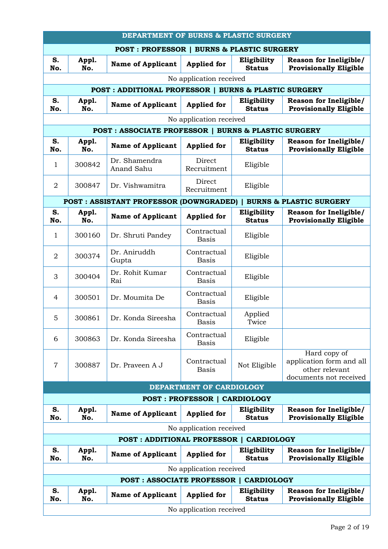|                | DEPARTMENT OF BURNS & PLASTIC SURGERY |                                                                 |                                     |                              |                                                                                      |  |  |
|----------------|---------------------------------------|-----------------------------------------------------------------|-------------------------------------|------------------------------|--------------------------------------------------------------------------------------|--|--|
|                |                                       | <b>POST: PROFESSOR   BURNS &amp; PLASTIC SURGERY</b>            |                                     |                              |                                                                                      |  |  |
| S.<br>No.      | Appl.<br>No.                          | <b>Name of Applicant</b>                                        | <b>Applied for</b>                  | Eligibility<br><b>Status</b> | Reason for Ineligible/<br><b>Provisionally Eligible</b>                              |  |  |
|                | No application received               |                                                                 |                                     |                              |                                                                                      |  |  |
|                |                                       | <b>POST: ADDITIONAL PROFESSOR   BURNS &amp; PLASTIC SURGERY</b> |                                     |                              |                                                                                      |  |  |
| S.<br>No.      | Appl.<br>No.                          | <b>Name of Applicant</b>                                        | <b>Applied for</b>                  | Eligibility<br><b>Status</b> | <b>Reason for Ineligible/</b><br><b>Provisionally Eligible</b>                       |  |  |
|                |                                       |                                                                 | No application received             |                              |                                                                                      |  |  |
|                |                                       | <b>POST: ASSOCIATE PROFESSOR   BURNS &amp; PLASTIC SURGERY</b>  |                                     |                              |                                                                                      |  |  |
| S.<br>No.      | Appl.<br>No.                          | <b>Name of Applicant</b>                                        | <b>Applied for</b>                  | Eligibility<br><b>Status</b> | Reason for Ineligible/<br><b>Provisionally Eligible</b>                              |  |  |
| 1              | 300842                                | Dr. Shamendra<br>Anand Sahu                                     | Direct<br>Recruitment               | Eligible                     |                                                                                      |  |  |
| $\overline{2}$ | 300847                                | Dr. Vishwamitra                                                 | Direct<br>Recruitment               | Eligible                     |                                                                                      |  |  |
|                |                                       | <b>POST : ASSISTANT PROFESSOR (DOWNGRADED)  </b>                |                                     |                              | <b>BURNS &amp; PLASTIC SURGERY</b>                                                   |  |  |
| S.<br>No.      | Appl.<br>No.                          | <b>Name of Applicant</b>                                        | <b>Applied for</b>                  | Eligibility<br><b>Status</b> | Reason for Ineligible/<br><b>Provisionally Eligible</b>                              |  |  |
| 1              | 300160                                | Dr. Shruti Pandey                                               | Contractual<br><b>Basis</b>         | Eligible                     |                                                                                      |  |  |
| $\overline{2}$ | 300374                                | Dr. Aniruddh<br>Gupta                                           | Contractual<br><b>Basis</b>         | Eligible                     |                                                                                      |  |  |
| 3              | 300404                                | Dr. Rohit Kumar<br>Rai                                          | Contractual<br><b>Basis</b>         | Eligible                     |                                                                                      |  |  |
| 4              | 300501                                | Dr. Moumita De                                                  | Contractual<br><b>Basis</b>         | Eligible                     |                                                                                      |  |  |
| 5              | 300861                                | Dr. Konda Sireesha                                              | Contractual<br><b>Basis</b>         | Applied<br>Twice             |                                                                                      |  |  |
| 6              | 300863                                | Dr. Konda Sireesha                                              | Contractual<br><b>Basis</b>         | Eligible                     |                                                                                      |  |  |
| $\overline{7}$ | 300887                                | Dr. Prayeen A J                                                 | Contractual<br><b>Basis</b>         | Not Eligible                 | Hard copy of<br>application form and all<br>other relevant<br>documents not received |  |  |
|                |                                       |                                                                 | DEPARTMENT OF CARDIOLOGY            |                              |                                                                                      |  |  |
|                |                                       |                                                                 | <b>POST: PROFESSOR   CARDIOLOGY</b> |                              |                                                                                      |  |  |
| S.<br>No.      | Appl.<br>No.                          | <b>Name of Applicant</b>                                        | <b>Applied for</b>                  | Eligibility<br><b>Status</b> | <b>Reason for Ineligible/</b><br><b>Provisionally Eligible</b>                       |  |  |
|                |                                       |                                                                 | No application received             |                              |                                                                                      |  |  |
|                |                                       | <b>POST: ADDITIONAL PROFESSOR  </b>                             |                                     | <b>CARDIOLOGY</b>            |                                                                                      |  |  |
| S.<br>No.      | Appl.<br>No.                          | <b>Name of Applicant</b>                                        | <b>Applied for</b>                  | Eligibility<br><b>Status</b> | Reason for Ineligible/<br><b>Provisionally Eligible</b>                              |  |  |
|                |                                       |                                                                 | No application received             |                              |                                                                                      |  |  |
|                |                                       | <b>POST: ASSOCIATE PROFESSOR  </b>                              |                                     | <b>CARDIOLOGY</b>            |                                                                                      |  |  |
| S.<br>No.      | Appl.<br>No.                          | <b>Name of Applicant</b>                                        | <b>Applied for</b>                  | Eligibility<br><b>Status</b> | <b>Reason for Ineligible/</b><br><b>Provisionally Eligible</b>                       |  |  |
|                | No application received               |                                                                 |                                     |                              |                                                                                      |  |  |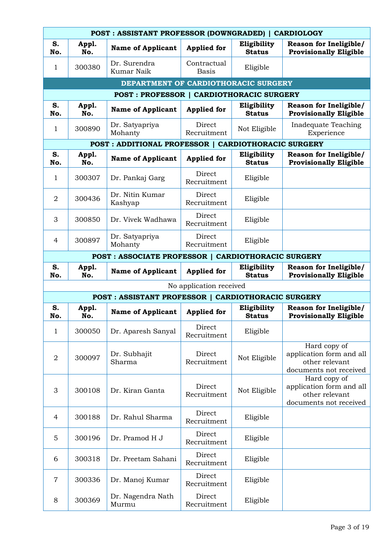|                | POST: ASSISTANT PROFESSOR (DOWNGRADED)   CARDIOLOGY  |                                                     |                             |                              |                                                                                      |  |  |  |
|----------------|------------------------------------------------------|-----------------------------------------------------|-----------------------------|------------------------------|--------------------------------------------------------------------------------------|--|--|--|
| S.<br>No.      | Appl.<br>No.                                         | <b>Name of Applicant</b>                            | <b>Applied for</b>          | Eligibility<br><b>Status</b> | <b>Reason for Ineligible/</b><br><b>Provisionally Eligible</b>                       |  |  |  |
| 1              | 300380                                               | Dr. Surendra<br>Kumar Naik                          | Contractual<br><b>Basis</b> | Eligible                     |                                                                                      |  |  |  |
|                |                                                      | DEPARTMENT OF CARDIOTHORACIC SURGERY                |                             |                              |                                                                                      |  |  |  |
|                |                                                      | POST : PROFESSOR   CARDIOTHORACIC SURGERY           |                             |                              |                                                                                      |  |  |  |
| S.<br>No.      | Appl.<br>No.                                         | <b>Name of Applicant</b>                            | <b>Applied for</b>          | Eligibility<br><b>Status</b> | Reason for Ineligible/<br><b>Provisionally Eligible</b>                              |  |  |  |
| 1              | 300890                                               | Dr. Satyapriya<br>Mohanty                           | Direct<br>Recruitment       | Not Eligible                 | Inadequate Teaching<br>Experience                                                    |  |  |  |
|                | POST : ADDITIONAL PROFESSOR   CARDIOTHORACIC SURGERY |                                                     |                             |                              |                                                                                      |  |  |  |
| S.<br>No.      | Appl.<br>No.                                         | <b>Name of Applicant</b>                            | <b>Applied for</b>          | Eligibility<br><b>Status</b> | <b>Reason for Ineligible/</b><br><b>Provisionally Eligible</b>                       |  |  |  |
| 1              | 300307                                               | Dr. Pankaj Garg                                     | Direct<br>Recruitment       | Eligible                     |                                                                                      |  |  |  |
| $\overline{2}$ | 300436                                               | Dr. Nitin Kumar<br>Kashyap                          | Direct<br>Recruitment       | Eligible                     |                                                                                      |  |  |  |
| 3              | 300850                                               | Dr. Vivek Wadhawa                                   | Direct<br>Recruitment       | Eligible                     |                                                                                      |  |  |  |
| $\overline{4}$ | 300897                                               | Dr. Satyapriya<br>Mohanty                           | Direct<br>Recruitment       | Eligible                     |                                                                                      |  |  |  |
|                |                                                      | POST : ASSOCIATE PROFESSOR   CARDIOTHORACIC SURGERY |                             |                              |                                                                                      |  |  |  |
| S.<br>No.      | Appl.<br>No.                                         | <b>Name of Applicant</b>                            | <b>Applied for</b>          | Eligibility<br><b>Status</b> | Reason for Ineligible/<br><b>Provisionally Eligible</b>                              |  |  |  |
|                |                                                      |                                                     | No application received     |                              |                                                                                      |  |  |  |
|                |                                                      | POST : ASSISTANT PROFESSOR   CARDIOTHORACIC SURGERY |                             |                              |                                                                                      |  |  |  |
| S.<br>No.      | Appl.<br>No.                                         | <b>Name of Applicant</b>                            | <b>Applied for</b>          | Eligibility<br><b>Status</b> | Reason for Ineligible/<br><b>Provisionally Eligible</b>                              |  |  |  |
| $\mathbf{1}$   | 300050                                               | Dr. Aparesh Sanyal                                  | Direct<br>Recruitment       | Eligible                     |                                                                                      |  |  |  |
| $\overline{2}$ | 300097                                               | Dr. Subhajit<br>Sharma                              | Direct<br>Recruitment       | Not Eligible                 | Hard copy of<br>application form and all<br>other relevant<br>documents not received |  |  |  |
| 3              | 300108                                               | Dr. Kiran Ganta                                     | Direct<br>Recruitment       | Not Eligible                 | Hard copy of<br>application form and all<br>other relevant<br>documents not received |  |  |  |
| 4              | 300188                                               | Dr. Rahul Sharma                                    | Direct<br>Recruitment       | Eligible                     |                                                                                      |  |  |  |
| 5              | 300196                                               | Dr. Pramod H J                                      | Direct<br>Recruitment       | Eligible                     |                                                                                      |  |  |  |
| 6              | 300318                                               | Dr. Preetam Sahani                                  | Direct<br>Recruitment       | Eligible                     |                                                                                      |  |  |  |
| $\overline{7}$ | 300336                                               | Dr. Manoj Kumar                                     | Direct<br>Recruitment       | Eligible                     |                                                                                      |  |  |  |
| 8              | 300369                                               | Dr. Nagendra Nath<br>Murmu                          | Direct<br>Recruitment       | Eligible                     |                                                                                      |  |  |  |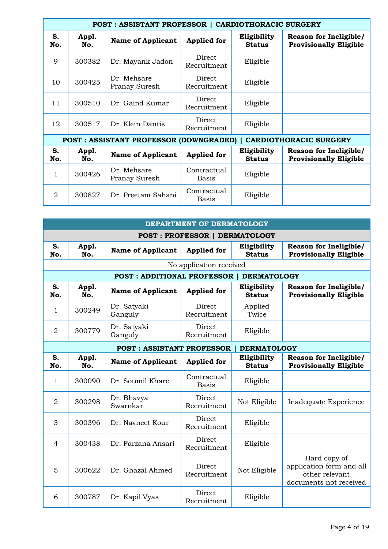| POST: ASSISTANT PROFESSOR   CARDIOTHORACIC SURGERY |              |                                                 |                       |                              |                                                                |  |
|----------------------------------------------------|--------------|-------------------------------------------------|-----------------------|------------------------------|----------------------------------------------------------------|--|
| S.<br>No.                                          | Appl.<br>No. | <b>Name of Applicant</b>                        | <b>Applied for</b>    | Eligibility<br><b>Status</b> | Reason for Ineligible/<br><b>Provisionally Eligible</b>        |  |
| 9                                                  | 300382       | Dr. Mayank Jadon                                | Direct<br>Recruitment | Eligible                     |                                                                |  |
| 10                                                 | 300425       | Dr. Mehsare<br>Pranay Suresh                    | Direct<br>Recruitment | Eligible                     |                                                                |  |
| 11                                                 | 300510       | Dr. Gaind Kumar                                 | Direct<br>Recruitment | Eligible                     |                                                                |  |
| 12                                                 | 300517       | Dr. Klein Dantis                                | Direct<br>Recruitment | Eligible                     |                                                                |  |
|                                                    |              | <b>POST: ASSISTANT PROFESSOR (DOWNGRADED)  </b> |                       |                              | <b>CARDIOTHORACIC SURGERY</b>                                  |  |
| S.<br>No.                                          | Appl.<br>No. | <b>Name of Applicant</b>                        | <b>Applied for</b>    | Eligibility<br><b>Status</b> | <b>Reason for Ineligible/</b><br><b>Provisionally Eligible</b> |  |
| 1                                                  | 300426       | Dr. Mehsare<br>Pranay Suresh                    | Contractual<br>Basis  | Eligible                     |                                                                |  |
| 2                                                  | 300827       | Dr. Preetam Sahani                              | Contractual<br>Basis  | Eligible                     |                                                                |  |

| DEPARTMENT OF DERMATOLOGY |                                      |                                   |                              |                              |                                                                                      |  |  |  |  |
|---------------------------|--------------------------------------|-----------------------------------|------------------------------|------------------------------|--------------------------------------------------------------------------------------|--|--|--|--|
|                           | <b>POST: PROFESSOR   DERMATOLOGY</b> |                                   |                              |                              |                                                                                      |  |  |  |  |
| S.<br>No.                 | Appl.<br>No.                         | <b>Name of Applicant</b>          | <b>Applied for</b>           | Eligibility<br><b>Status</b> | <b>Reason for Ineligible/</b><br><b>Provisionally Eligible</b>                       |  |  |  |  |
|                           |                                      |                                   | No application received      |                              |                                                                                      |  |  |  |  |
|                           |                                      | <b>POST: ADDITIONAL PROFESSOR</b> |                              | <b>DERMATOLOGY</b>           |                                                                                      |  |  |  |  |
| S.<br>No.                 | Appl.<br>No.                         | <b>Name of Applicant</b>          | <b>Applied for</b>           | Eligibility<br><b>Status</b> | <b>Reason for Ineligible/</b><br><b>Provisionally Eligible</b>                       |  |  |  |  |
| $\mathbf{1}$              | 300249                               | Dr. Satyaki<br>Ganguly            | Direct<br>Recruitment        | Applied<br>Twice             |                                                                                      |  |  |  |  |
| $\overline{2}$            | 300779                               | Dr. Satyaki<br>Ganguly            | Direct<br>Recruitment        | Eligible                     |                                                                                      |  |  |  |  |
|                           |                                      | <b>POST: ASSISTANT PROFESSOR</b>  |                              | <b>DERMATOLOGY</b>           |                                                                                      |  |  |  |  |
| S.<br>No.                 | Appl.<br>No.                         | <b>Name of Applicant</b>          | <b>Applied for</b>           | Eligibility<br><b>Status</b> | <b>Reason for Ineligible/</b><br><b>Provisionally Eligible</b>                       |  |  |  |  |
| $\mathbf{1}$              | 300090                               | Dr. Soumil Khare                  | Contractual<br><b>Basis</b>  | Eligible                     |                                                                                      |  |  |  |  |
| $\overline{2}$            | 300298                               | Dr. Bhavya<br>Swarnkar            | Direct<br>Recruitment        | Not Eligible                 | Inadequate Experience                                                                |  |  |  |  |
| 3                         | 300396                               | Dr. Navneet Kour                  | Direct<br>Recruitment        | Eligible                     |                                                                                      |  |  |  |  |
| $\overline{4}$            | 300438                               | Dr. Farzana Ansari                | <b>Direct</b><br>Recruitment | Eligible                     |                                                                                      |  |  |  |  |
| 5                         | 300622                               | Dr. Ghazal Ahmed                  | Direct<br>Recruitment        | Not Eligible                 | Hard copy of<br>application form and all<br>other relevant<br>documents not received |  |  |  |  |
| 6                         | 300787                               | Dr. Kapil Vyas                    | Direct<br>Recruitment        | Eligible                     |                                                                                      |  |  |  |  |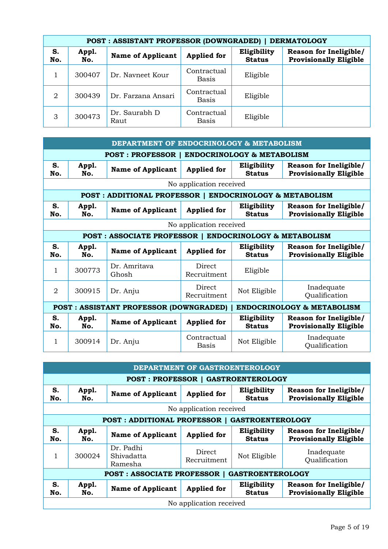|           | POST : ASSISTANT PROFESSOR (DOWNGRADED)  <br><b>DERMATOLOGY</b> |                          |                             |                              |                                                         |  |  |  |
|-----------|-----------------------------------------------------------------|--------------------------|-----------------------------|------------------------------|---------------------------------------------------------|--|--|--|
| S.<br>No. | Appl.<br>No.                                                    | <b>Name of Applicant</b> | <b>Applied for</b>          | Eligibility<br><b>Status</b> | Reason for Ineligible/<br><b>Provisionally Eligible</b> |  |  |  |
|           | 300407                                                          | Dr. Navneet Kour         | Contractual<br>Basis        | Eligible                     |                                                         |  |  |  |
| 2         | 300439                                                          | Dr. Farzana Ansari       | Contractual<br><b>Basis</b> | Eligible                     |                                                         |  |  |  |
| 3         | 300473                                                          | Dr. Saurabh D<br>Raut    | Contractual<br>Basis        | Eligible                     |                                                         |  |  |  |

| DEPARTMENT OF ENDOCRINOLOGY & METABOLISM |                                                                             |                                                                   |                         |                              |                                                                |  |  |
|------------------------------------------|-----------------------------------------------------------------------------|-------------------------------------------------------------------|-------------------------|------------------------------|----------------------------------------------------------------|--|--|
|                                          | POST: PROFESSOR   ENDOCRINOLOGY & METABOLISM                                |                                                                   |                         |                              |                                                                |  |  |
| S.<br>No.                                | Appl.<br>No.                                                                | <b>Name of Applicant</b>                                          | <b>Applied for</b>      | Eligibility<br><b>Status</b> | <b>Reason for Ineligible/</b><br><b>Provisionally Eligible</b> |  |  |
|                                          |                                                                             |                                                                   | No application received |                              |                                                                |  |  |
|                                          |                                                                             | POST: ADDITIONAL PROFESSOR   ENDOCRINOLOGY & METABOLISM           |                         |                              |                                                                |  |  |
| S.<br>No.                                | Appl.<br>No.                                                                | <b>Name of Applicant</b>                                          | <b>Applied for</b>      | Eligibility<br><b>Status</b> | <b>Reason for Ineligible/</b><br><b>Provisionally Eligible</b> |  |  |
|                                          |                                                                             |                                                                   | No application received |                              |                                                                |  |  |
|                                          |                                                                             | <b>POST: ASSOCIATE PROFESSOR   ENDOCRINOLOGY &amp; METABOLISM</b> |                         |                              |                                                                |  |  |
| S.<br>No.                                | Appl.<br>No.                                                                | <b>Name of Applicant</b>                                          | <b>Applied for</b>      | Eligibility<br><b>Status</b> | <b>Reason for Ineligible/</b><br><b>Provisionally Eligible</b> |  |  |
| 1                                        | 300773                                                                      | Dr. Amritava<br>Ghosh                                             | Direct<br>Recruitment   | Eligible                     |                                                                |  |  |
| $\mathfrak{D}$                           | 300915                                                                      | Dr. Anju                                                          | Direct<br>Recruitment   | Not Eligible                 | Inadequate<br>Qualification                                    |  |  |
|                                          | ENDOCRINOLOGY & METABOLISM<br><b>POST: ASSISTANT PROFESSOR (DOWNGRADED)</b> |                                                                   |                         |                              |                                                                |  |  |
| S.<br>No.                                | Appl.<br>No.                                                                | <b>Name of Applicant</b>                                          | <b>Applied for</b>      | Eligibility<br><b>Status</b> | <b>Reason for Ineligible/</b><br><b>Provisionally Eligible</b> |  |  |
|                                          |                                                                             |                                                                   |                         |                              |                                                                |  |  |

|                                                               | DEPARTMENT OF GASTROENTEROLOGY |                                           |                         |                              |                                                                |  |
|---------------------------------------------------------------|--------------------------------|-------------------------------------------|-------------------------|------------------------------|----------------------------------------------------------------|--|
|                                                               |                                | <b>POST: PROFESSOR   GASTROENTEROLOGY</b> |                         |                              |                                                                |  |
| S.<br>No.                                                     | Appl.<br>No.                   | <b>Name of Applicant</b>                  | <b>Applied</b> for      | Eligibility<br><b>Status</b> | Reason for Ineligible/<br><b>Provisionally Eligible</b>        |  |
|                                                               |                                |                                           | No application received |                              |                                                                |  |
|                                                               |                                | <b>POST: ADDITIONAL PROFESSOR  </b>       |                         | <b>GASTROENTEROLOGY</b>      |                                                                |  |
| S.<br>No.                                                     | Appl.<br>No.                   | <b>Name of Applicant</b>                  | <b>Applied</b> for      | Eligibility<br><b>Status</b> | <b>Reason for Ineligible/</b><br><b>Provisionally Eligible</b> |  |
|                                                               | 300024                         | Dr. Padhi<br>Shivadatta<br>Ramesha        | Direct<br>Recruitment   | Not Eligible                 | Inadequate<br>Qualification                                    |  |
| <b>POST: ASSOCIATE PROFESSOR  </b><br><b>GASTROENTEROLOGY</b> |                                |                                           |                         |                              |                                                                |  |
| S.<br>No.                                                     | Appl.<br>No.                   | <b>Name of Applicant</b>                  | <b>Applied</b> for      | Eligibility<br><b>Status</b> | <b>Reason for Ineligible/</b><br><b>Provisionally Eligible</b> |  |
|                                                               |                                |                                           | No application received |                              |                                                                |  |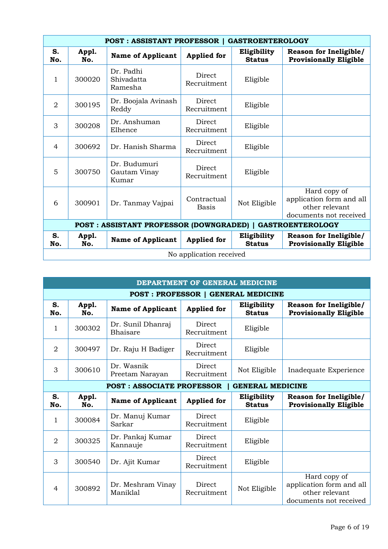|                | <b>POST: ASSISTANT PROFESSOR  </b><br><b>GASTROENTEROLOGY</b>              |                                       |                              |                              |                                                                                      |  |  |
|----------------|----------------------------------------------------------------------------|---------------------------------------|------------------------------|------------------------------|--------------------------------------------------------------------------------------|--|--|
| S.<br>No.      | Appl.<br>No.                                                               | <b>Name of Applicant</b>              | <b>Applied for</b>           | Eligibility<br><b>Status</b> | <b>Reason for Ineligible/</b><br><b>Provisionally Eligible</b>                       |  |  |
| 1              | 300020                                                                     | Dr. Padhi<br>Shivadatta<br>Ramesha    | Direct<br>Recruitment        | Eligible                     |                                                                                      |  |  |
| 2              | 300195                                                                     | Dr. Boojala Avinash<br>Reddy          | Direct<br>Recruitment        | Eligible                     |                                                                                      |  |  |
| 3              | 300208                                                                     | Dr. Anshuman<br>Elhence               | <b>Direct</b><br>Recruitment | Eligible                     |                                                                                      |  |  |
| $\overline{4}$ | 300692                                                                     | Dr. Hanish Sharma                     | Direct<br>Recruitment        | Eligible                     |                                                                                      |  |  |
| 5              | 300750                                                                     | Dr. Budumuri<br>Gautam Vinay<br>Kumar | Direct<br>Recruitment        | Eligible                     |                                                                                      |  |  |
| 6              | 300901                                                                     | Dr. Tanmay Vajpai                     | Contractual<br><b>Basis</b>  | Not Eligible                 | Hard copy of<br>application form and all<br>other relevant<br>documents not received |  |  |
|                | <b>POST: ASSISTANT PROFESSOR (DOWNGRADED)  </b><br><b>GASTROENTEROLOGY</b> |                                       |                              |                              |                                                                                      |  |  |
| S.<br>No.      | Appl.<br>No.                                                               | <b>Name of Applicant</b>              | <b>Applied for</b>           | Eligibility<br><b>Status</b> | Reason for Ineligible/<br><b>Provisionally Eligible</b>                              |  |  |
|                | No application received                                                    |                                       |                              |                              |                                                                                      |  |  |

| DEPARTMENT OF GENERAL MEDICINE            |              |                                  |                       |                              |                                                                                      |  |  |  |
|-------------------------------------------|--------------|----------------------------------|-----------------------|------------------------------|--------------------------------------------------------------------------------------|--|--|--|
| <b>POST: PROFESSOR   GENERAL MEDICINE</b> |              |                                  |                       |                              |                                                                                      |  |  |  |
| S.<br>No.                                 | Appl.<br>No. | <b>Name of Applicant</b>         | <b>Applied for</b>    | Eligibility<br><b>Status</b> | <b>Reason for Ineligible/</b><br><b>Provisionally Eligible</b>                       |  |  |  |
| 1                                         | 300302       | Dr. Sunil Dhanraj<br>Bhaisare    | Direct<br>Recruitment | Eligible                     |                                                                                      |  |  |  |
| $\overline{2}$                            | 300497       | Dr. Raju H Badiger               | Direct<br>Recruitment | Eligible                     |                                                                                      |  |  |  |
| 3                                         | 300610       | Dr. Wasnik<br>Preetam Narayan    | Direct<br>Recruitment | Not Eligible                 | Inadequate Experience                                                                |  |  |  |
|                                           |              | <b>POST: ASSOCIATE PROFESSOR</b> |                       | <b>GENERAL MEDICINE</b>      |                                                                                      |  |  |  |
| S.<br>No.                                 | Appl.<br>No. | <b>Name of Applicant</b>         | <b>Applied for</b>    | Eligibility<br><b>Status</b> | <b>Reason for Ineligible/</b><br><b>Provisionally Eligible</b>                       |  |  |  |
| 1                                         | 300084       | Dr. Manuj Kumar<br>Sarkar        | Direct<br>Recruitment | Eligible                     |                                                                                      |  |  |  |
| $\overline{2}$                            | 300325       | Dr. Pankaj Kumar<br>Kannauje     | Direct<br>Recruitment | Eligible                     |                                                                                      |  |  |  |
| 3                                         | 300540       | Dr. Ajit Kumar                   | Direct<br>Recruitment | Eligible                     |                                                                                      |  |  |  |
| $\overline{4}$                            | 300892       | Dr. Meshram Vinay<br>Maniklal    | Direct<br>Recruitment | Not Eligible                 | Hard copy of<br>application form and all<br>other relevant<br>documents not received |  |  |  |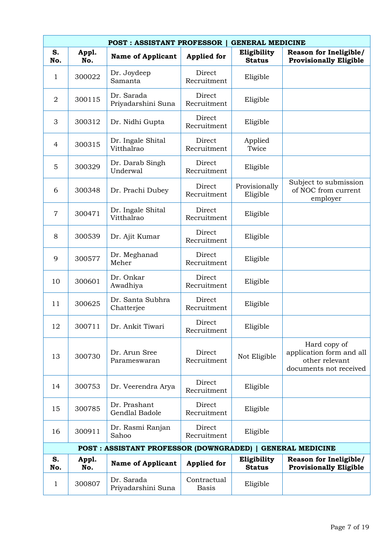|                | <b>POST: ASSISTANT PROFESSOR</b><br><b>GENERAL MEDICINE</b> |                                                           |                             |                              |                                                                                      |  |  |  |
|----------------|-------------------------------------------------------------|-----------------------------------------------------------|-----------------------------|------------------------------|--------------------------------------------------------------------------------------|--|--|--|
| S.<br>No.      | Appl.<br>No.                                                | <b>Name of Applicant</b>                                  | <b>Applied for</b>          | Eligibility<br><b>Status</b> | <b>Reason for Ineligible/</b><br><b>Provisionally Eligible</b>                       |  |  |  |
| 1              | 300022                                                      | Dr. Joydeep<br>Samanta                                    | Direct<br>Recruitment       | Eligible                     |                                                                                      |  |  |  |
| $\overline{2}$ | 300115                                                      | Dr. Sarada<br>Priyadarshini Suna                          | Direct<br>Recruitment       | Eligible                     |                                                                                      |  |  |  |
| 3              | 300312                                                      | Dr. Nidhi Gupta                                           | Direct<br>Recruitment       | Eligible                     |                                                                                      |  |  |  |
| $\overline{4}$ | 300315                                                      | Dr. Ingale Shital<br>Vitthalrao                           | Direct<br>Recruitment       | Applied<br>Twice             |                                                                                      |  |  |  |
| 5              | 300329                                                      | Dr. Darab Singh<br>Underwal                               | Direct<br>Recruitment       | Eligible                     |                                                                                      |  |  |  |
| 6              | 300348                                                      | Dr. Prachi Dubey                                          | Direct<br>Recruitment       | Provisionally<br>Eligible    | Subject to submission<br>of NOC from current<br>employer                             |  |  |  |
| $\overline{7}$ | 300471                                                      | Dr. Ingale Shital<br>Vitthalrao                           | Direct<br>Recruitment       | Eligible                     |                                                                                      |  |  |  |
| 8              | 300539                                                      | Dr. Ajit Kumar                                            | Direct<br>Recruitment       | Eligible                     |                                                                                      |  |  |  |
| 9              | 300577                                                      | Dr. Meghanad<br>Meher                                     | Direct<br>Recruitment       | Eligible                     |                                                                                      |  |  |  |
| 10             | 300601                                                      | Dr. Onkar<br>Awadhiya                                     | Direct<br>Recruitment       | Eligible                     |                                                                                      |  |  |  |
| 11             | 300625                                                      | Dr. Santa Subhra<br>Chatterjee                            | Direct<br>Recruitment       | Eligible                     |                                                                                      |  |  |  |
| 12             | 300711                                                      | Dr. Ankit Tiwari                                          | Direct<br>Recruitment       | Eligible                     |                                                                                      |  |  |  |
| 13             | 300730                                                      | Dr. Arun Sree<br>Parameswaran                             | Direct<br>Recruitment       | Not Eligible                 | Hard copy of<br>application form and all<br>other relevant<br>documents not received |  |  |  |
| 14             | 300753                                                      | Dr. Veerendra Arya                                        | Direct<br>Recruitment       | Eligible                     |                                                                                      |  |  |  |
| 15             | 300785                                                      | Dr. Prashant<br>Gendlal Badole                            | Direct<br>Recruitment       | Eligible                     |                                                                                      |  |  |  |
| 16             | 300911                                                      | Dr. Rasmi Ranjan<br>Sahoo                                 | Direct<br>Recruitment       | Eligible                     |                                                                                      |  |  |  |
|                |                                                             | POST: ASSISTANT PROFESSOR (DOWNGRADED)   GENERAL MEDICINE |                             |                              |                                                                                      |  |  |  |
| S.<br>No.      | Appl.<br>No.                                                | <b>Name of Applicant</b>                                  | <b>Applied for</b>          | Eligibility<br><b>Status</b> | <b>Reason for Ineligible/</b><br><b>Provisionally Eligible</b>                       |  |  |  |
| $\mathbf{1}$   | 300807                                                      | Dr. Sarada<br>Priyadarshini Suna                          | Contractual<br><b>Basis</b> | Eligible                     |                                                                                      |  |  |  |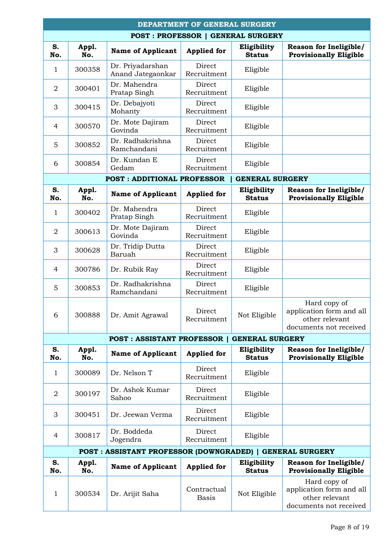|                | DEPARTMENT OF GENERAL SURGERY |                                                           |                             |                                          |                                                                                      |  |  |
|----------------|-------------------------------|-----------------------------------------------------------|-----------------------------|------------------------------------------|--------------------------------------------------------------------------------------|--|--|
|                |                               |                                                           |                             | <b>POST: PROFESSOR   GENERAL SURGERY</b> |                                                                                      |  |  |
| S.<br>No.      | Appl.<br>No.                  | <b>Name of Applicant</b>                                  | <b>Applied for</b>          | Eligibility<br><b>Status</b>             | Reason for Ineligible/<br><b>Provisionally Eligible</b>                              |  |  |
| $\mathbf{1}$   | 300358                        | Dr. Priyadarshan<br>Anand Jategaonkar                     | Direct<br>Recruitment       | Eligible                                 |                                                                                      |  |  |
| $\overline{2}$ | 300401                        | Dr. Mahendra<br>Pratap Singh                              | Direct<br>Recruitment       | Eligible                                 |                                                                                      |  |  |
| 3              | 300415                        | Dr. Debajyoti<br>Mohanty                                  | Direct<br>Recruitment       | Eligible                                 |                                                                                      |  |  |
| 4              | 300570                        | Dr. Mote Dajiram<br>Govinda                               | Direct<br>Recruitment       | Eligible                                 |                                                                                      |  |  |
| 5              | 300852                        | Dr. Radhakrishna<br>Ramchandani                           | Direct<br>Recruitment       | Eligible                                 |                                                                                      |  |  |
| 6              | 300854                        | Dr. Kundan E<br>Gedam                                     | Direct<br>Recruitment       | Eligible                                 |                                                                                      |  |  |
|                |                               | <b>POST: ADDITIONAL PROFESSOR</b>                         |                             | <b>GENERAL SURGERY</b>                   |                                                                                      |  |  |
| S.<br>No.      | Appl.<br>No.                  | <b>Name of Applicant</b>                                  | <b>Applied for</b>          | Eligibility<br><b>Status</b>             | Reason for Ineligible/<br><b>Provisionally Eligible</b>                              |  |  |
| 1              | 300402                        | Dr. Mahendra<br>Pratap Singh                              | Direct<br>Recruitment       | Eligible                                 |                                                                                      |  |  |
| $\overline{2}$ | 300613                        | Dr. Mote Dajiram<br>Govinda                               | Direct<br>Recruitment       | Eligible                                 |                                                                                      |  |  |
| 3              | 300628                        | Dr. Tridip Dutta<br>Baruah                                | Direct<br>Recruitment       | Eligible                                 |                                                                                      |  |  |
| $\overline{4}$ | 300786                        | Dr. Rubik Ray                                             | Direct<br>Recruitment       | Eligible                                 |                                                                                      |  |  |
| 5              | 300853                        | Dr. Radhakrishna<br>Ramchandani                           | Direct<br>Recruitment       | Eligible                                 |                                                                                      |  |  |
| 6              | 300888                        | Dr. Amit Agrawal                                          | Direct<br>Recruitment       | Not Eligible                             | Hard copy of<br>application form and all<br>other relevant<br>documents not received |  |  |
|                |                               | <b>POST: ASSISTANT PROFESSOR</b>                          |                             | <b>GENERAL SURGERY</b>                   |                                                                                      |  |  |
| S.<br>No.      | Appl.<br>No.                  | <b>Name of Applicant</b>                                  | <b>Applied for</b>          | Eligibility<br><b>Status</b>             | <b>Reason for Ineligible/</b><br><b>Provisionally Eligible</b>                       |  |  |
| 1              | 300089                        | Dr. Nelson T                                              | Direct<br>Recruitment       | Eligible                                 |                                                                                      |  |  |
| $\overline{2}$ | 300197                        | Dr. Ashok Kumar<br>Sahoo                                  | Direct<br>Recruitment       | Eligible                                 |                                                                                      |  |  |
| 3              | 300451                        | Dr. Jeewan Verma                                          | Direct<br>Recruitment       | Eligible                                 |                                                                                      |  |  |
| 4              | 300817                        | Dr. Boddeda<br>Jogendra                                   | Direct<br>Recruitment       | Eligible                                 |                                                                                      |  |  |
|                |                               | POST : ASSISTANT PROFESSOR (DOWNGRADED)   GENERAL SURGERY |                             |                                          |                                                                                      |  |  |
| S.<br>No.      | Appl.<br>No.                  | <b>Name of Applicant</b>                                  | <b>Applied for</b>          | Eligibility<br><b>Status</b>             | <b>Reason for Ineligible/</b><br><b>Provisionally Eligible</b>                       |  |  |
| 1              | 300534                        | Dr. Arijit Saha                                           | Contractual<br><b>Basis</b> | Not Eligible                             | Hard copy of<br>application form and all<br>other relevant<br>documents not received |  |  |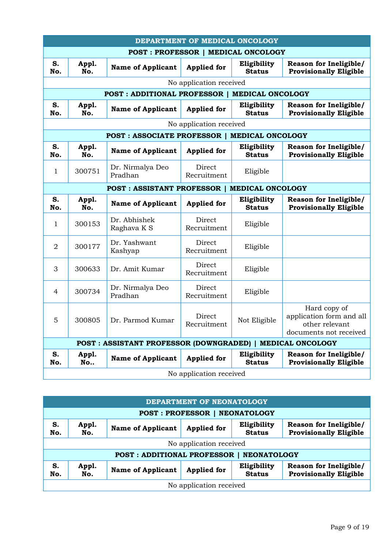|                                           | DEPARTMENT OF MEDICAL ONCOLOGY                                |                                                           |                         |                              |                                                                                      |  |  |  |
|-------------------------------------------|---------------------------------------------------------------|-----------------------------------------------------------|-------------------------|------------------------------|--------------------------------------------------------------------------------------|--|--|--|
| <b>POST: PROFESSOR   MEDICAL ONCOLOGY</b> |                                                               |                                                           |                         |                              |                                                                                      |  |  |  |
| S.<br>No.                                 | Appl.<br>No.                                                  | <b>Name of Applicant</b>                                  | <b>Applied for</b>      | Eligibility<br><b>Status</b> | Reason for Ineligible/<br><b>Provisionally Eligible</b>                              |  |  |  |
|                                           | No application received                                       |                                                           |                         |                              |                                                                                      |  |  |  |
|                                           |                                                               | <b>POST: ADDITIONAL PROFESSOR  </b>                       |                         | <b>MEDICAL ONCOLOGY</b>      |                                                                                      |  |  |  |
| S.<br>No.                                 | Appl.<br>No.                                                  | <b>Name of Applicant</b>                                  | <b>Applied for</b>      | Eligibility<br><b>Status</b> | Reason for Ineligible/<br><b>Provisionally Eligible</b>                              |  |  |  |
|                                           |                                                               |                                                           | No application received |                              |                                                                                      |  |  |  |
|                                           |                                                               | POST: ASSOCIATE PROFESSOR   MEDICAL ONCOLOGY              |                         |                              |                                                                                      |  |  |  |
| S.<br>No.                                 | Appl.<br>No.                                                  | <b>Name of Applicant</b>                                  | <b>Applied for</b>      | Eligibility<br><b>Status</b> | Reason for Ineligible/<br><b>Provisionally Eligible</b>                              |  |  |  |
| 1                                         | 300751                                                        | Dr. Nirmalya Deo<br>Pradhan                               | Direct<br>Recruitment   | Eligible                     |                                                                                      |  |  |  |
|                                           | <b>MEDICAL ONCOLOGY</b><br><b>POST: ASSISTANT PROFESSOR  </b> |                                                           |                         |                              |                                                                                      |  |  |  |
| S.<br>No.                                 | Appl.<br>No.                                                  | <b>Name of Applicant</b>                                  | <b>Applied for</b>      | Eligibility<br><b>Status</b> | Reason for Ineligible/<br><b>Provisionally Eligible</b>                              |  |  |  |
| 1                                         | 300153                                                        | Dr. Abhishek<br>Raghava K S                               | Direct<br>Recruitment   | Eligible                     |                                                                                      |  |  |  |
| $\overline{2}$                            | 300177                                                        | Dr. Yashwant<br>Kashyap                                   | Direct<br>Recruitment   | Eligible                     |                                                                                      |  |  |  |
| 3                                         | 300633                                                        | Dr. Amit Kumar                                            | Direct<br>Recruitment   | Eligible                     |                                                                                      |  |  |  |
| $\overline{4}$                            | 300734                                                        | Dr. Nirmalya Deo<br>Pradhan                               | Direct<br>Recruitment   | Eligible                     |                                                                                      |  |  |  |
| 5                                         | 300805                                                        | Dr. Parmod Kumar                                          | Direct<br>Recruitment   | Not Eligible                 | Hard copy of<br>application form and all<br>other relevant<br>documents not received |  |  |  |
|                                           |                                                               | POST: ASSISTANT PROFESSOR (DOWNGRADED)   MEDICAL ONCOLOGY |                         |                              |                                                                                      |  |  |  |
| S.<br>No.                                 | Appl.<br>No                                                   | <b>Name of Applicant</b>                                  | <b>Applied for</b>      | Eligibility<br><b>Status</b> | <b>Reason for Ineligible/</b><br><b>Provisionally Eligible</b>                       |  |  |  |
|                                           |                                                               |                                                           | No application received |                              |                                                                                      |  |  |  |

| DEPARTMENT OF NEONATOLOGY                      |              |                                   |                         |                              |                                                                |  |  |
|------------------------------------------------|--------------|-----------------------------------|-------------------------|------------------------------|----------------------------------------------------------------|--|--|
| <b>POST: PROFESSOR  </b><br><b>NEONATOLOGY</b> |              |                                   |                         |                              |                                                                |  |  |
| S.<br>No.                                      | Appl.<br>No. | <b>Name of Applicant</b>          | <b>Applied for</b>      | Eligibility<br><b>Status</b> | <b>Reason for Ineligible/</b><br><b>Provisionally Eligible</b> |  |  |
|                                                |              |                                   | No application received |                              |                                                                |  |  |
|                                                |              | <b>POST: ADDITIONAL PROFESSOR</b> |                         | <b>NEONATOLOGY</b>           |                                                                |  |  |
| S.<br>No.                                      | Appl.<br>No. | <b>Name of Applicant</b>          | <b>Applied for</b>      | Eligibility<br><b>Status</b> | Reason for Ineligible/<br><b>Provisionally Eligible</b>        |  |  |
| No application received                        |              |                                   |                         |                              |                                                                |  |  |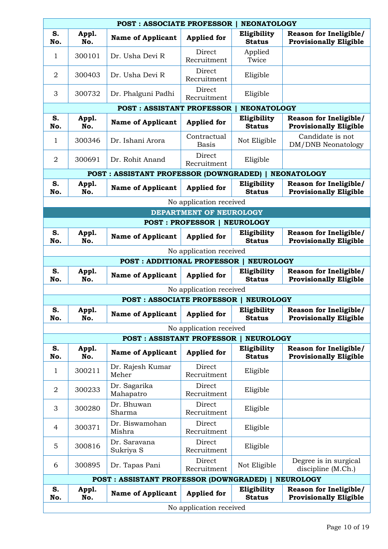|                | <b>POST: ASSOCIATE PROFESSOR</b><br><b>NEONATOLOGY</b> |                                                 |                                    |                                 |                                                                |  |  |  |
|----------------|--------------------------------------------------------|-------------------------------------------------|------------------------------------|---------------------------------|----------------------------------------------------------------|--|--|--|
| S.<br>No.      | Appl.<br>No.                                           | <b>Name of Applicant</b>                        | <b>Applied for</b>                 | Eligibility<br><b>Status</b>    | Reason for Ineligible/<br><b>Provisionally Eligible</b>        |  |  |  |
| 1              | 300101                                                 | Dr. Usha Devi R                                 | Direct<br>Recruitment              | Applied<br>Twice                |                                                                |  |  |  |
| $\overline{2}$ | 300403                                                 | Dr. Usha Devi R                                 | Direct<br>Recruitment              | Eligible                        |                                                                |  |  |  |
| 3              | 300732                                                 | Dr. Phalguni Padhi                              | Direct<br>Recruitment              | Eligible                        |                                                                |  |  |  |
|                |                                                        | <b>POST: ASSISTANT PROFESSOR</b>                |                                    | <b>NEONATOLOGY</b>              |                                                                |  |  |  |
| S.<br>No.      | Appl.<br>No.                                           | <b>Name of Applicant</b>                        | <b>Applied for</b>                 | Eligibility<br><b>Status</b>    | <b>Reason for Ineligible/</b><br><b>Provisionally Eligible</b> |  |  |  |
| 1              | 300346                                                 | Dr. Ishani Arora                                | Contractual<br><b>Basis</b>        | Not Eligible                    | Candidate is not<br>DM/DNB Neonatology                         |  |  |  |
| $\overline{2}$ | 300691                                                 | Dr. Rohit Anand                                 | Direct<br>Recruitment              | Eligible                        |                                                                |  |  |  |
|                |                                                        | <b>POST : ASSISTANT PROFESSOR (DOWNGRADED)</b>  |                                    |                                 | <b>NEONATOLOGY</b>                                             |  |  |  |
| S.<br>No.      | Appl.<br>No.                                           | <b>Name of Applicant</b>                        | <b>Applied for</b>                 | Eligibility<br><b>Status</b>    | <b>Reason for Ineligible/</b><br><b>Provisionally Eligible</b> |  |  |  |
|                |                                                        |                                                 | No application received            |                                 |                                                                |  |  |  |
|                |                                                        |                                                 | DEPARTMENT OF NEUROLOGY            |                                 |                                                                |  |  |  |
|                |                                                        |                                                 | <b>POST: PROFESSOR   NEUROLOGY</b> |                                 |                                                                |  |  |  |
| S.<br>No.      | Appl.<br>No.                                           | <b>Name of Applicant</b>                        | <b>Applied for</b>                 | Eligibility<br><b>Status</b>    | Reason for Ineligible/<br><b>Provisionally Eligible</b>        |  |  |  |
|                | No application received                                |                                                 |                                    |                                 |                                                                |  |  |  |
|                | <b>POST: ADDITIONAL PROFESSOR</b><br><b>NEUROLOGY</b>  |                                                 |                                    |                                 |                                                                |  |  |  |
| S.<br>No.      | Appl.<br>No.                                           | <b>Name of Applicant</b>                        | <b>Applied for</b>                 | Eligibility<br><b>Status</b>    | Reason for Ineligible/<br><b>Provisionally Eligible</b>        |  |  |  |
|                |                                                        |                                                 | No application received            |                                 |                                                                |  |  |  |
|                |                                                        | <b>POST: ASSOCIATE PROFESSOR</b>                |                                    | <b>NEUROLOGY</b>                |                                                                |  |  |  |
| S.<br>No.      | Appl.<br>No.                                           | <b>Name of Applicant</b>                        | <b>Applied for</b>                 | Eligibility<br><b>Status</b>    | <b>Reason for Ineligible/</b><br><b>Provisionally Eligible</b> |  |  |  |
|                |                                                        |                                                 | No application received            |                                 |                                                                |  |  |  |
| S.             |                                                        | <b>POST: ASSISTANT PROFESSOR</b>                |                                    | <b>NEUROLOGY</b><br>Eligibility | Reason for Ineligible/                                         |  |  |  |
| No.            | Appl.<br>No.                                           | <b>Name of Applicant</b>                        | <b>Applied for</b>                 | <b>Status</b>                   | <b>Provisionally Eligible</b>                                  |  |  |  |
| 1              | 300211                                                 | Dr. Rajesh Kumar<br>Meher                       | Direct<br>Recruitment              | Eligible                        |                                                                |  |  |  |
| $\overline{2}$ | 300233                                                 | Dr. Sagarika<br>Mahapatro                       | Direct<br>Recruitment              | Eligible                        |                                                                |  |  |  |
| 3              | 300280                                                 | Dr. Bhuwan<br>Sharma                            | Direct<br>Recruitment              | Eligible                        |                                                                |  |  |  |
| 4              | 300371                                                 | Dr. Biswamohan<br>Mishra                        | Direct<br>Recruitment              | Eligible                        |                                                                |  |  |  |
| 5              | 300816                                                 | Dr. Saravana<br>Sukriya S                       | Direct<br>Recruitment              | Eligible                        |                                                                |  |  |  |
| 6              | 300895                                                 | Dr. Tapas Pani                                  | Direct<br>Recruitment              | Not Eligible                    | Degree is in surgical<br>discipline (M.Ch.)                    |  |  |  |
|                |                                                        | <b>POST: ASSISTANT PROFESSOR (DOWNGRADED)  </b> |                                    |                                 | <b>NEUROLOGY</b>                                               |  |  |  |
| S.<br>No.      | Appl.<br>No.                                           | <b>Name of Applicant</b>                        | <b>Applied for</b>                 | Eligibility<br><b>Status</b>    | Reason for Ineligible/<br><b>Provisionally Eligible</b>        |  |  |  |
|                |                                                        |                                                 | No application received            |                                 |                                                                |  |  |  |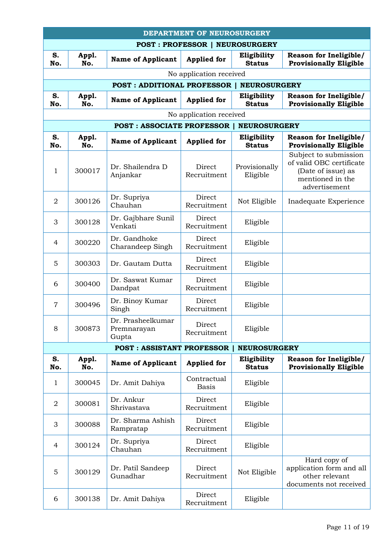|                | <b>DEPARTMENT OF NEUROSURGERY</b>     |                                           |                             |                              |                                                                                                              |  |  |  |
|----------------|---------------------------------------|-------------------------------------------|-----------------------------|------------------------------|--------------------------------------------------------------------------------------------------------------|--|--|--|
|                | <b>POST: PROFESSOR   NEUROSURGERY</b> |                                           |                             |                              |                                                                                                              |  |  |  |
| S.<br>No.      | Appl.<br>No.                          | <b>Name of Applicant</b>                  | <b>Applied</b> for          | Eligibility<br><b>Status</b> | Reason for Ineligible/<br><b>Provisionally Eligible</b>                                                      |  |  |  |
|                |                                       |                                           | No application received     |                              |                                                                                                              |  |  |  |
|                |                                       | <b>POST: ADDITIONAL PROFESSOR</b>         |                             | <b>NEUROSURGERY</b>          |                                                                                                              |  |  |  |
| S.<br>No.      | Appl.<br>No.                          | <b>Name of Applicant</b>                  | <b>Applied for</b>          | Eligibility<br><b>Status</b> | Reason for Ineligible/<br><b>Provisionally Eligible</b>                                                      |  |  |  |
|                |                                       |                                           | No application received     |                              |                                                                                                              |  |  |  |
|                |                                       | <b>POST: ASSOCIATE PROFESSOR</b>          |                             | <b>NEUROSURGERY</b>          |                                                                                                              |  |  |  |
| S.<br>No.      | Appl.<br>No.                          | <b>Name of Applicant</b>                  | <b>Applied for</b>          | Eligibility<br><b>Status</b> | Reason for Ineligible/<br><b>Provisionally Eligible</b>                                                      |  |  |  |
| 1              | 300017                                | Dr. Shailendra D<br>Anjankar              | Direct<br>Recruitment       | Provisionally<br>Eligible    | Subject to submission<br>of valid OBC certificate<br>(Date of issue) as<br>mentioned in the<br>advertisement |  |  |  |
| $\overline{2}$ | 300126                                | Dr. Supriya<br>Chauhan                    | Direct<br>Recruitment       | Not Eligible                 | Inadequate Experience                                                                                        |  |  |  |
| 3              | 300128                                | Dr. Gajbhare Sunil<br>Venkati             | Direct<br>Recruitment       | Eligible                     |                                                                                                              |  |  |  |
| $\overline{4}$ | 300220                                | Dr. Gandhoke<br>Charandeep Singh          | Direct<br>Recruitment       | Eligible                     |                                                                                                              |  |  |  |
| 5              | 300303                                | Dr. Gautam Dutta                          | Direct<br>Recruitment       | Eligible                     |                                                                                                              |  |  |  |
| 6              | 300400                                | Dr. Saswat Kumar<br>Dandpat               | Direct<br>Recruitment       | Eligible                     |                                                                                                              |  |  |  |
| $\overline{7}$ | 300496                                | Dr. Binoy Kumar<br>Singh                  | Direct<br>Recruitment       | Eligible                     |                                                                                                              |  |  |  |
| 8              | 300873                                | Dr. Prasheelkumar<br>Premnarayan<br>Gupta | Direct<br>Recruitment       | Eligible                     |                                                                                                              |  |  |  |
|                |                                       | <b>POST: ASSISTANT PROFESSOR  </b>        |                             | <b>NEUROSURGERY</b>          |                                                                                                              |  |  |  |
| S.<br>No.      | Appl.<br>No.                          | <b>Name of Applicant</b>                  | <b>Applied for</b>          | Eligibility<br><b>Status</b> | Reason for Ineligible/<br><b>Provisionally Eligible</b>                                                      |  |  |  |
| 1              | 300045                                | Dr. Amit Dahiya                           | Contractual<br><b>Basis</b> | Eligible                     |                                                                                                              |  |  |  |
| $\overline{2}$ | 300081                                | Dr. Ankur<br>Shrivastava                  | Direct<br>Recruitment       | Eligible                     |                                                                                                              |  |  |  |
| 3              | 300088                                | Dr. Sharma Ashish<br>Rampratap            | Direct<br>Recruitment       | Eligible                     |                                                                                                              |  |  |  |
| $\overline{4}$ | 300124                                | Dr. Supriya<br>Chauhan                    | Direct<br>Recruitment       | Eligible                     |                                                                                                              |  |  |  |
| 5              | 300129                                | Dr. Patil Sandeep<br>Gunadhar             | Direct<br>Recruitment       | Not Eligible                 | Hard copy of<br>application form and all<br>other relevant<br>documents not received                         |  |  |  |
| 6              | 300138                                | Dr. Amit Dahiya                           | Direct<br>Recruitment       | Eligible                     |                                                                                                              |  |  |  |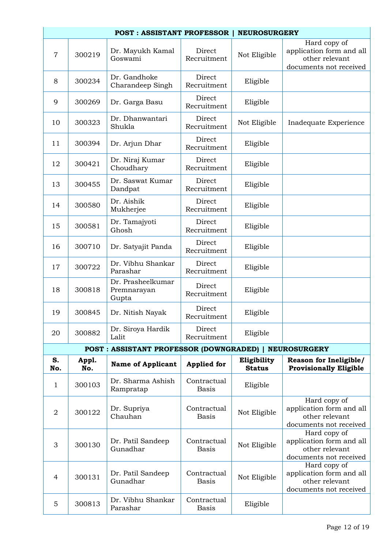|                |              | <b>POST: ASSISTANT PROFESSOR  </b>                    |                             | <b>NEUROSURGERY</b>          |                                                                                      |
|----------------|--------------|-------------------------------------------------------|-----------------------------|------------------------------|--------------------------------------------------------------------------------------|
| $\overline{7}$ | 300219       | Dr. Mayukh Kamal<br>Goswami                           | Direct<br>Recruitment       | Not Eligible                 | Hard copy of<br>application form and all<br>other relevant<br>documents not received |
| 8              | 300234       | Dr. Gandhoke<br>Charandeep Singh                      | Direct<br>Recruitment       | Eligible                     |                                                                                      |
| 9              | 300269       | Dr. Garga Basu                                        | Direct<br>Recruitment       | Eligible                     |                                                                                      |
| 10             | 300323       | Dr. Dhanwantari<br>Shukla                             | Direct<br>Recruitment       | Not Eligible                 | Inadequate Experience                                                                |
| 11             | 300394       | Dr. Arjun Dhar                                        | Direct<br>Recruitment       | Eligible                     |                                                                                      |
| 12             | 300421       | Dr. Niraj Kumar<br>Choudhary                          | Direct<br>Recruitment       | Eligible                     |                                                                                      |
| 13             | 300455       | Dr. Saswat Kumar<br>Dandpat                           | Direct<br>Recruitment       | Eligible                     |                                                                                      |
| 14             | 300580       | Dr. Aishik<br>Mukherjee                               | Direct<br>Recruitment       | Eligible                     |                                                                                      |
| 15             | 300581       | Dr. Tamajyoti<br>Ghosh                                | Direct<br>Recruitment       | Eligible                     |                                                                                      |
| 16             | 300710       | Dr. Satyajit Panda                                    | Direct<br>Recruitment       | Eligible                     |                                                                                      |
| 17             | 300722       | Dr. Vibhu Shankar<br>Parashar                         | Direct<br>Recruitment       | Eligible                     |                                                                                      |
| 18             | 300818       | Dr. Prasheelkumar<br>Premnarayan<br>Gupta             | Direct<br>Recruitment       | Eligible                     |                                                                                      |
| 19             | 300845       | Dr. Nitish Nayak                                      | Direct<br>Recruitment       | Eligible                     |                                                                                      |
| 20             | 300882       | Dr. Siroya Hardik<br>Lalit                            | Direct<br>Recruitment       | Eligible                     |                                                                                      |
|                |              | POST: ASSISTANT PROFESSOR (DOWNGRADED)   NEUROSURGERY |                             |                              |                                                                                      |
| S.<br>No.      | Appl.<br>No. | <b>Name of Applicant</b>                              | <b>Applied for</b>          | Eligibility<br><b>Status</b> | Reason for Ineligible/<br><b>Provisionally Eligible</b>                              |
| 1              | 300103       | Dr. Sharma Ashish<br>Rampratap                        | Contractual<br><b>Basis</b> | Eligible                     |                                                                                      |
| $\overline{2}$ | 300122       | Dr. Supriya<br>Chauhan                                | Contractual<br><b>Basis</b> | Not Eligible                 | Hard copy of<br>application form and all<br>other relevant<br>documents not received |
| 3              | 300130       | Dr. Patil Sandeep<br>Gunadhar                         | Contractual<br><b>Basis</b> | Not Eligible                 | Hard copy of<br>application form and all<br>other relevant<br>documents not received |
| $\overline{4}$ | 300131       | Dr. Patil Sandeep<br>Gunadhar                         | Contractual<br><b>Basis</b> | Not Eligible                 | Hard copy of<br>application form and all<br>other relevant<br>documents not received |
| 5              | 300813       | Dr. Vibhu Shankar<br>Parashar                         | Contractual<br><b>Basis</b> | Eligible                     |                                                                                      |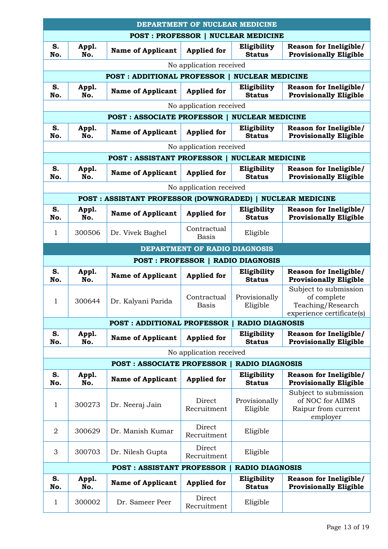| DEPARTMENT OF NUCLEAR MEDICINE |                                           |                                                     |                                          |                              |                                                                                        |  |  |
|--------------------------------|-------------------------------------------|-----------------------------------------------------|------------------------------------------|------------------------------|----------------------------------------------------------------------------------------|--|--|
|                                | <b>POST: PROFESSOR   NUCLEAR MEDICINE</b> |                                                     |                                          |                              |                                                                                        |  |  |
| S.<br>No.                      | Appl.<br>No.                              | <b>Name of Applicant</b>                            | <b>Applied for</b>                       | Eligibility<br><b>Status</b> | Reason for Ineligible/<br><b>Provisionally Eligible</b>                                |  |  |
|                                |                                           |                                                     | No application received                  |                              |                                                                                        |  |  |
|                                |                                           | <b>POST: ADDITIONAL PROFESSOR  </b>                 |                                          | <b>NUCLEAR MEDICINE</b>      |                                                                                        |  |  |
| S.<br>No.                      | Appl.<br>No.                              | <b>Name of Applicant</b>                            | <b>Applied for</b>                       | Eligibility<br><b>Status</b> | Reason for Ineligible/<br><b>Provisionally Eligible</b>                                |  |  |
|                                |                                           |                                                     | No application received                  |                              |                                                                                        |  |  |
|                                |                                           | <b>POST: ASSOCIATE PROFESSOR  </b>                  |                                          | <b>NUCLEAR MEDICINE</b>      |                                                                                        |  |  |
| S.<br>No.                      | Appl.<br>No.                              | <b>Name of Applicant</b>                            | <b>Applied for</b>                       | Eligibility<br><b>Status</b> | Reason for Ineligible/<br><b>Provisionally Eligible</b>                                |  |  |
|                                |                                           |                                                     | No application received                  |                              |                                                                                        |  |  |
|                                |                                           | <b>POST: ASSISTANT PROFESSOR   NUCLEAR MEDICINE</b> |                                          |                              |                                                                                        |  |  |
| S.<br>No.                      | Appl.<br>No.                              | <b>Name of Applicant</b>                            | <b>Applied for</b>                       | Eligibility<br><b>Status</b> | Reason for Ineligible/<br><b>Provisionally Eligible</b>                                |  |  |
|                                |                                           |                                                     | No application received                  |                              |                                                                                        |  |  |
|                                |                                           | <b>POST: ASSISTANT PROFESSOR (DOWNGRADED)  </b>     |                                          |                              | <b>NUCLEAR MEDICINE</b>                                                                |  |  |
| S.<br>No.                      | Appl.<br>No.                              | <b>Name of Applicant</b>                            | <b>Applied for</b>                       | Eligibility<br><b>Status</b> | Reason for Ineligible/<br><b>Provisionally Eligible</b>                                |  |  |
| 1                              | 300506                                    | Dr. Vivek Baghel                                    | Contractual<br><b>Basis</b>              | Eligible                     |                                                                                        |  |  |
|                                |                                           |                                                     | DEPARTMENT OF RADIO DIAGNOSIS            |                              |                                                                                        |  |  |
|                                |                                           |                                                     | <b>POST: PROFESSOR   RADIO DIAGNOSIS</b> |                              |                                                                                        |  |  |
| S.                             | Appl.                                     |                                                     |                                          | Eligibility                  | Reason for Ineligible/                                                                 |  |  |
| No.                            | No.                                       | <b>Name of Applicant</b>                            | <b>Applied for</b>                       | <b>Status</b>                | <b>Provisionally Eligible</b>                                                          |  |  |
| 1                              | 300644                                    | Dr. Kalyani Parida                                  | Contractual<br><b>Basis</b>              | Provisionally<br>Eligible    | Subject to submission<br>of complete<br>Teaching/Research<br>experience certificate(s) |  |  |
|                                |                                           | <b>POST: ADDITIONAL PROFESSOR</b>                   |                                          | <b>RADIO DIAGNOSIS</b>       |                                                                                        |  |  |
| S.<br>No.                      | Appl.<br>No.                              | <b>Name of Applicant</b>                            | <b>Applied for</b>                       | Eligibility<br><b>Status</b> | Reason for Ineligible/<br><b>Provisionally Eligible</b>                                |  |  |
|                                |                                           |                                                     | No application received                  |                              |                                                                                        |  |  |
|                                |                                           | <b>POST: ASSOCIATE PROFESSOR  </b>                  |                                          | <b>RADIO DIAGNOSIS</b>       |                                                                                        |  |  |
| S.<br>No.                      | Appl.<br>No.                              | <b>Name of Applicant</b>                            | <b>Applied for</b>                       | Eligibility<br><b>Status</b> | Reason for Ineligible/<br><b>Provisionally Eligible</b>                                |  |  |
| 1                              | 300273                                    | Dr. Neeraj Jain                                     | Direct<br>Recruitment                    | Provisionally<br>Eligible    | Subject to submission<br>of NOC for AIIMS<br>Raipur from current                       |  |  |
| $\overline{2}$                 | 300629                                    | Dr. Manish Kumar                                    | Direct<br>Recruitment                    | Eligible                     | employer                                                                               |  |  |
| 3                              | 300703                                    | Dr. Nilesh Gupta                                    | Direct<br>Recruitment                    | Eligible                     |                                                                                        |  |  |
|                                |                                           | <b>POST: ASSISTANT PROFESSOR</b>                    |                                          | <b>RADIO DIAGNOSIS</b>       |                                                                                        |  |  |
| S.<br>No.                      | Appl.<br>No.                              | <b>Name of Applicant</b>                            | <b>Applied for</b>                       | Eligibility<br><b>Status</b> | <b>Reason for Ineligible/</b><br><b>Provisionally Eligible</b>                         |  |  |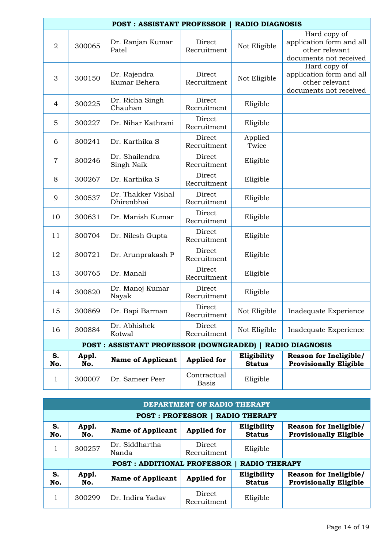|                | <b>POST: ASSISTANT PROFESSOR  </b><br><b>RADIO DIAGNOSIS</b> |                                                           |                             |                              |                                                                                      |  |  |
|----------------|--------------------------------------------------------------|-----------------------------------------------------------|-----------------------------|------------------------------|--------------------------------------------------------------------------------------|--|--|
| $\overline{2}$ | 300065                                                       | Dr. Ranjan Kumar<br>Patel                                 | Direct<br>Recruitment       | Not Eligible                 | Hard copy of<br>application form and all<br>other relevant<br>documents not received |  |  |
| 3              | 300150                                                       | Dr. Rajendra<br>Kumar Behera                              | Direct<br>Recruitment       | Not Eligible                 | Hard copy of<br>application form and all<br>other relevant<br>documents not received |  |  |
| $\overline{4}$ | 300225                                                       | Dr. Richa Singh<br>Chauhan                                | Direct<br>Recruitment       | Eligible                     |                                                                                      |  |  |
| 5              | 300227                                                       | Dr. Nihar Kathrani                                        | Direct<br>Recruitment       | Eligible                     |                                                                                      |  |  |
| 6              | 300241                                                       | Dr. Karthika S                                            | Direct<br>Recruitment       | Applied<br>Twice             |                                                                                      |  |  |
| $\overline{7}$ | 300246                                                       | Dr. Shailendra<br>Singh Naik                              | Direct<br>Recruitment       | Eligible                     |                                                                                      |  |  |
| 8              | 300267                                                       | Dr. Karthika S                                            | Direct<br>Recruitment       | Eligible                     |                                                                                      |  |  |
| 9              | 300537                                                       | Dr. Thakker Vishal<br>Dhirenbhai                          | Direct<br>Recruitment       | Eligible                     |                                                                                      |  |  |
| 10             | 300631                                                       | Dr. Manish Kumar                                          | Direct<br>Recruitment       | Eligible                     |                                                                                      |  |  |
| 11             | 300704                                                       | Dr. Nilesh Gupta                                          | Direct<br>Recruitment       | Eligible                     |                                                                                      |  |  |
| 12             | 300721                                                       | Dr. Arunprakash P                                         | Direct<br>Recruitment       | Eligible                     |                                                                                      |  |  |
| 13             | 300765                                                       | Dr. Manali                                                | Direct<br>Recruitment       | Eligible                     |                                                                                      |  |  |
| 14             | 300820                                                       | Dr. Manoj Kumar<br>Nayak                                  | Direct<br>Recruitment       | Eligible                     |                                                                                      |  |  |
| 15             | 300869                                                       | Dr. Bapi Barman                                           | Direct<br>Recruitment       | Not Eligible                 | Inadequate Experience                                                                |  |  |
| 16             | 300884                                                       | Dr. Abhishek<br>Kotwal                                    | Direct<br>Recruitment       | Not Eligible                 | Inadequate Experience                                                                |  |  |
|                |                                                              | POST : ASSISTANT PROFESSOR (DOWNGRADED)   RADIO DIAGNOSIS |                             |                              |                                                                                      |  |  |
| S.<br>No.      | Appl.<br>No.                                                 | <b>Name of Applicant</b>                                  | <b>Applied for</b>          | Eligibility<br><b>Status</b> | <b>Reason for Ineligible/</b><br><b>Provisionally Eligible</b>                       |  |  |
| $\mathbf{1}$   | 300007                                                       | Dr. Sameer Peer                                           | Contractual<br><b>Basis</b> | Eligible                     |                                                                                      |  |  |

|                                        | DEPARTMENT OF RADIO THERAPY |                                   |                       |                              |                                                                |  |  |  |  |
|----------------------------------------|-----------------------------|-----------------------------------|-----------------------|------------------------------|----------------------------------------------------------------|--|--|--|--|
| <b>POST: PROFESSOR   RADIO THERAPY</b> |                             |                                   |                       |                              |                                                                |  |  |  |  |
| S.<br>No.                              | Appl.<br>No.                | <b>Name of Applicant</b>          | <b>Applied for</b>    | Eligibility<br><b>Status</b> | <b>Reason for Ineligible/</b><br><b>Provisionally Eligible</b> |  |  |  |  |
|                                        | 300257                      | Dr. Siddhartha<br>Nanda           | Direct<br>Recruitment | Eligible                     |                                                                |  |  |  |  |
|                                        |                             | <b>POST: ADDITIONAL PROFESSOR</b> |                       | <b>RADIO THERAPY</b>         |                                                                |  |  |  |  |
| S.<br>No.                              | Appl.<br>No.                | <b>Name of Applicant</b>          | <b>Applied for</b>    | Eligibility<br><b>Status</b> | Reason for Ineligible/<br><b>Provisionally Eligible</b>        |  |  |  |  |
|                                        | 300299                      | Dr. Indira Yadav                  | Direct<br>Recruitment | Eligible                     |                                                                |  |  |  |  |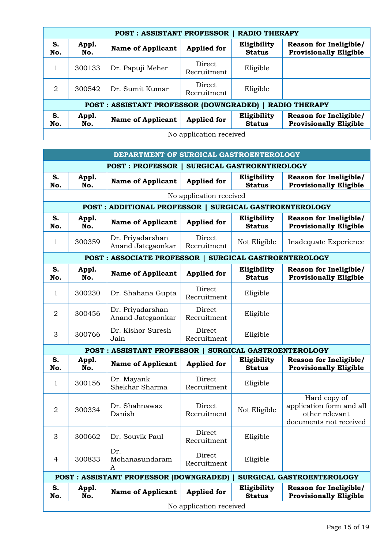| <b>RADIO THERAPY</b><br><b>POST: ASSISTANT PROFESSOR</b> |              |                                                        |                       |                              |                                                                |  |  |
|----------------------------------------------------------|--------------|--------------------------------------------------------|-----------------------|------------------------------|----------------------------------------------------------------|--|--|
| S.<br>No.                                                | Appl.<br>No. | <b>Name of Applicant</b>                               | <b>Applied for</b>    | Eligibility<br><b>Status</b> | <b>Reason for Ineligible/</b><br><b>Provisionally Eligible</b> |  |  |
|                                                          | 300133       | Dr. Papuji Meher                                       | Direct<br>Recruitment | Eligible                     |                                                                |  |  |
| 2                                                        | 300542       | Dr. Sumit Kumar                                        | Direct<br>Recruitment | Eligible                     |                                                                |  |  |
|                                                          |              | POST: ASSISTANT PROFESSOR (DOWNGRADED)   RADIO THERAPY |                       |                              |                                                                |  |  |
| S.<br>No.                                                | Appl.<br>No. | <b>Name of Applicant</b>                               | <b>Applied for</b>    | Eligibility<br><b>Status</b> | Reason for Ineligible/<br><b>Provisionally Eligible</b>        |  |  |
| No application received                                  |              |                                                        |                       |                              |                                                                |  |  |

|                         | DEPARTMENT OF SURGICAL GASTROENTEROLOGY                 |                                                       |                       |                              |                                                                                      |  |  |  |
|-------------------------|---------------------------------------------------------|-------------------------------------------------------|-----------------------|------------------------------|--------------------------------------------------------------------------------------|--|--|--|
|                         |                                                         | <b>POST: PROFESSOR   SURGICAL GASTROENTEROLOGY</b>    |                       |                              |                                                                                      |  |  |  |
| S.<br>No.               | Appl.<br>No.                                            | <b>Name of Applicant</b>                              | <b>Applied</b> for    | Eligibility<br><b>Status</b> | Reason for Ineligible/<br><b>Provisionally Eligible</b>                              |  |  |  |
|                         | No application received                                 |                                                       |                       |                              |                                                                                      |  |  |  |
|                         | POST : ADDITIONAL PROFESSOR   SURGICAL GASTROENTEROLOGY |                                                       |                       |                              |                                                                                      |  |  |  |
| S.<br>No.               | Appl.<br>No.                                            | <b>Name of Applicant</b>                              | <b>Applied for</b>    | Eligibility<br><b>Status</b> | Reason for Ineligible/<br><b>Provisionally Eligible</b>                              |  |  |  |
| 1                       | 300359                                                  | Dr. Priyadarshan<br>Anand Jategaonkar                 | Direct<br>Recruitment | Not Eligible                 | Inadequate Experience                                                                |  |  |  |
|                         |                                                         | POST: ASSOCIATE PROFESSOR   SURGICAL GASTROENTEROLOGY |                       |                              |                                                                                      |  |  |  |
| S.<br>No.               | Appl.<br>No.                                            | <b>Name of Applicant</b>                              | <b>Applied for</b>    | Eligibility<br><b>Status</b> | Reason for Ineligible/<br><b>Provisionally Eligible</b>                              |  |  |  |
| $\mathbf{1}$            | 300230                                                  | Dr. Shahana Gupta                                     | Direct<br>Recruitment | Eligible                     |                                                                                      |  |  |  |
| $\overline{2}$          | 300456                                                  | Dr. Priyadarshan<br>Anand Jategaonkar                 | Direct<br>Recruitment | Eligible                     |                                                                                      |  |  |  |
| 3                       | 300766                                                  | Dr. Kishor Suresh<br>Jain                             | Direct<br>Recruitment | Eligible                     |                                                                                      |  |  |  |
|                         |                                                         | <b>POST: ASSISTANT PROFESSOR</b>                      |                       | SURGICAL GASTROENTEROLOGY    |                                                                                      |  |  |  |
| S.<br>No.               | Appl.<br>No.                                            | <b>Name of Applicant</b>                              | <b>Applied for</b>    | Eligibility<br><b>Status</b> | Reason for Ineligible/<br><b>Provisionally Eligible</b>                              |  |  |  |
| $\mathbf{1}$            | 300156                                                  | Dr. Mayank<br>Shekhar Sharma                          | Direct<br>Recruitment | Eligible                     |                                                                                      |  |  |  |
| $\overline{2}$          | 300334                                                  | Dr. Shahnawaz<br>Danish                               | Direct<br>Recruitment | Not Eligible                 | Hard copy of<br>application form and all<br>other relevant<br>documents not received |  |  |  |
| 3                       | 300662                                                  | Dr. Souvik Paul                                       | Direct<br>Recruitment | Eligible                     |                                                                                      |  |  |  |
| 4                       | 300833                                                  | Dr.<br>Mohanasundaram<br>A                            | Direct<br>Recruitment | Eligible                     |                                                                                      |  |  |  |
|                         |                                                         | <b>POST: ASSISTANT PROFESSOR (DOWNGRADED)</b>         |                       |                              | SURGICAL GASTROENTEROLOGY                                                            |  |  |  |
| S.<br>No.               | Appl.<br>No.                                            | <b>Name of Applicant</b>                              | <b>Applied for</b>    | Eligibility<br><b>Status</b> | Reason for Ineligible/<br><b>Provisionally Eligible</b>                              |  |  |  |
| No application received |                                                         |                                                       |                       |                              |                                                                                      |  |  |  |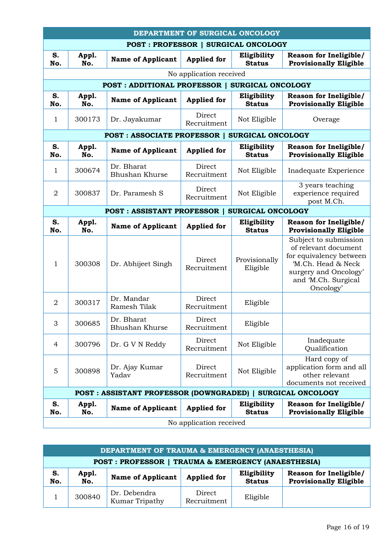| DEPARTMENT OF SURGICAL ONCOLOGY            |              |                                                             |                         |                              |                                                                                                                                                             |
|--------------------------------------------|--------------|-------------------------------------------------------------|-------------------------|------------------------------|-------------------------------------------------------------------------------------------------------------------------------------------------------------|
| <b>POST: PROFESSOR   SURGICAL ONCOLOGY</b> |              |                                                             |                         |                              |                                                                                                                                                             |
| S.<br>No.                                  | Appl.<br>No. | <b>Name of Applicant</b>                                    | <b>Applied for</b>      | Eligibility<br><b>Status</b> | Reason for Ineligible/<br><b>Provisionally Eligible</b>                                                                                                     |
|                                            |              |                                                             | No application received |                              |                                                                                                                                                             |
|                                            |              | <b>POST: ADDITIONAL PROFESSOR  </b>                         |                         | <b>SURGICAL ONCOLOGY</b>     |                                                                                                                                                             |
| S.<br>No.                                  | Appl.<br>No. | <b>Name of Applicant</b>                                    | <b>Applied for</b>      | Eligibility<br><b>Status</b> | Reason for Ineligible/<br><b>Provisionally Eligible</b>                                                                                                     |
| $\mathbf{1}$                               | 300173       | Dr. Jayakumar                                               | Direct<br>Recruitment   | Not Eligible                 | Overage                                                                                                                                                     |
|                                            |              | <b>POST: ASSOCIATE PROFESSOR  </b>                          |                         | SURGICAL ONCOLOGY            |                                                                                                                                                             |
| S.<br>No.                                  | Appl.<br>No. | <b>Name of Applicant</b>                                    | <b>Applied for</b>      | Eligibility<br><b>Status</b> | <b>Reason for Ineligible/</b><br><b>Provisionally Eligible</b>                                                                                              |
| 1                                          | 300674       | Dr. Bharat<br>Bhushan Khurse                                | Direct<br>Recruitment   | Not Eligible                 | Inadequate Experience                                                                                                                                       |
| $\overline{2}$                             | 300837       | Dr. Paramesh S                                              | Direct<br>Recruitment   | Not Eligible                 | 3 years teaching<br>experience required<br>post M.Ch.                                                                                                       |
|                                            |              | <b>POST: ASSISTANT PROFESSOR  </b>                          |                         | SURGICAL ONCOLOGY            |                                                                                                                                                             |
| S.<br>No.                                  | Appl.<br>No. | <b>Name of Applicant</b>                                    | <b>Applied for</b>      | Eligibility<br><b>Status</b> | <b>Reason for Ineligible/</b><br><b>Provisionally Eligible</b>                                                                                              |
| 1                                          | 300308       | Dr. Abhijeet Singh                                          | Direct<br>Recruitment   | Provisionally<br>Eligible    | Subject to submission<br>of relevant document<br>for equivalency between<br>'M.Ch. Head & Neck<br>surgery and Oncology'<br>and 'M.Ch. Surgical<br>Oncology' |
| $\overline{2}$                             | 300317       | Dr. Mandar<br>Ramesh Tilak                                  | Direct<br>Recruitment   | Eligible                     |                                                                                                                                                             |
| 3                                          | 300685       | Dr. Bharat<br>Bhushan Khurse                                | Direct<br>Recruitment   | Eligible                     |                                                                                                                                                             |
| 4                                          | 300796       | Dr. G V N Reddy                                             | Direct<br>Recruitment   | Not Eligible                 | Inadequate<br>Qualification                                                                                                                                 |
| 5                                          | 300898       | Dr. Ajay Kumar<br>Yadav                                     | Direct<br>Recruitment   | Not Eligible                 | Hard copy of<br>application form and all<br>other relevant<br>documents not received                                                                        |
|                                            |              | POST : ASSISTANT PROFESSOR (DOWNGRADED)   SURGICAL ONCOLOGY |                         |                              |                                                                                                                                                             |
| S.<br>No.                                  | Appl.<br>No. | <b>Name of Applicant</b>                                    | <b>Applied for</b>      | Eligibility<br><b>Status</b> | Reason for Ineligible/<br><b>Provisionally Eligible</b>                                                                                                     |
| No application received                    |              |                                                             |                         |                              |                                                                                                                                                             |

| <b>DEPARTMENT OF TRAUMA &amp; EMERGENCY (ANAESTHESIA)</b> |                            |                                |                       |                              |                                                         |  |
|-----------------------------------------------------------|----------------------------|--------------------------------|-----------------------|------------------------------|---------------------------------------------------------|--|
| POST: PROFESSOR   TRAUMA & EMERGENCY (ANAESTHESIA)        |                            |                                |                       |                              |                                                         |  |
| S.<br>No.                                                 | Appl.<br>$\overline{N}$ o. | <b>Name of Applicant</b>       | <b>Applied for</b>    | Eligibility<br><b>Status</b> | Reason for Ineligible/<br><b>Provisionally Eligible</b> |  |
|                                                           | 300840                     | Dr. Debendra<br>Kumar Tripathy | Direct<br>Recruitment | Eligible                     |                                                         |  |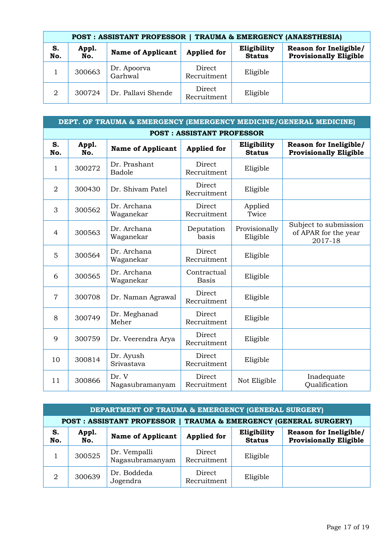| <b>POST: ASSISTANT PROFESSOR  </b><br>TRAUMA & EMERGENCY (ANAESTHESIA) |              |                          |                       |                              |                                                         |  |  |
|------------------------------------------------------------------------|--------------|--------------------------|-----------------------|------------------------------|---------------------------------------------------------|--|--|
| S.<br>No.                                                              | Appl.<br>No. | <b>Name of Applicant</b> | <b>Applied for</b>    | Eligibility<br><b>Status</b> | Reason for Ineligible/<br><b>Provisionally Eligible</b> |  |  |
|                                                                        | 300663       | Dr. Apoorva<br>Garhwal   | Direct<br>Recruitment | Eligible                     |                                                         |  |  |
| 2                                                                      | 300724       | Dr. Pallavi Shende       | Direct<br>Recruitment | Eligible                     |                                                         |  |  |

| DEPT. OF TRAUMA & EMERGENCY (EMERGENCY MEDICINE/GENERAL MEDICINE) |              |                          |                             |                              |                                                          |  |
|-------------------------------------------------------------------|--------------|--------------------------|-----------------------------|------------------------------|----------------------------------------------------------|--|
| <b>POST: ASSISTANT PROFESSOR</b>                                  |              |                          |                             |                              |                                                          |  |
| S.<br>No.                                                         | Appl.<br>No. | <b>Name of Applicant</b> | <b>Applied for</b>          | Eligibility<br><b>Status</b> | Reason for Ineligible/<br><b>Provisionally Eligible</b>  |  |
| 1                                                                 | 300272       | Dr. Prashant<br>Badole   | Direct<br>Recruitment       | Eligible                     |                                                          |  |
| $\overline{2}$                                                    | 300430       | Dr. Shivam Patel         | Direct<br>Recruitment       | Eligible                     |                                                          |  |
| 3                                                                 | 300562       | Dr. Archana<br>Waganekar | Direct<br>Recruitment       | Applied<br>Twice             |                                                          |  |
| 4                                                                 | 300563       | Dr. Archana<br>Waganekar | Deputation<br>basis         | Provisionally<br>Eligible    | Subject to submission<br>of APAR for the year<br>2017-18 |  |
| 5                                                                 | 300564       | Dr. Archana<br>Waganekar | Direct<br>Recruitment       | Eligible                     |                                                          |  |
| 6                                                                 | 300565       | Dr. Archana<br>Waganekar | Contractual<br><b>Basis</b> | Eligible                     |                                                          |  |
| $\overline{7}$                                                    | 300708       | Dr. Naman Agrawal        | Direct<br>Recruitment       | Eligible                     |                                                          |  |
| 8                                                                 | 300749       | Dr. Meghanad<br>Meher    | Direct<br>Recruitment       | Eligible                     |                                                          |  |
| 9                                                                 | 300759       | Dr. Veerendra Arya       | Direct<br>Recruitment       | Eligible                     |                                                          |  |
| 10                                                                | 300814       | Dr. Ayush<br>Srivastava  | Direct<br>Recruitment       | Eligible                     |                                                          |  |
| 11                                                                | 300866       | Dr. V<br>Nagasubramanyam | Direct<br>Recruitment       | Not Eligible                 | Inadequate<br>Qualification                              |  |

| DEPARTMENT OF TRAUMA & EMERGENCY (GENERAL SURGERY) |                                                                  |                                 |                       |                              |                                                         |  |  |
|----------------------------------------------------|------------------------------------------------------------------|---------------------------------|-----------------------|------------------------------|---------------------------------------------------------|--|--|
|                                                    | POST: ASSISTANT PROFESSOR   TRAUMA & EMERGENCY (GENERAL SURGERY) |                                 |                       |                              |                                                         |  |  |
| S.<br>No.                                          | Appl.<br>No.                                                     | <b>Name of Applicant</b>        | <b>Applied for</b>    | Eligibility<br><b>Status</b> | Reason for Ineligible/<br><b>Provisionally Eligible</b> |  |  |
|                                                    | 300525                                                           | Dr. Vempalli<br>Nagasubramanyam | Direct<br>Recruitment | Eligible                     |                                                         |  |  |
| 2                                                  | 300639                                                           | Dr. Boddeda<br>Jogendra         | Direct<br>Recruitment | Eligible                     |                                                         |  |  |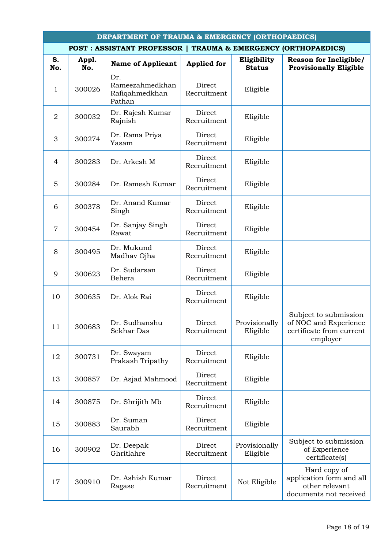| <b>DEPARTMENT OF TRAUMA &amp; EMERGENCY (ORTHOPAEDICS)</b>    |              |                                                    |                       |                              |                                                                                        |  |
|---------------------------------------------------------------|--------------|----------------------------------------------------|-----------------------|------------------------------|----------------------------------------------------------------------------------------|--|
| POST: ASSISTANT PROFESSOR   TRAUMA & EMERGENCY (ORTHOPAEDICS) |              |                                                    |                       |                              |                                                                                        |  |
| S.<br>No.                                                     | Appl.<br>No. | <b>Name of Applicant</b>                           | <b>Applied for</b>    | Eligibility<br><b>Status</b> | Reason for Ineligible/<br><b>Provisionally Eligible</b>                                |  |
| $\mathbf{1}$                                                  | 300026       | Dr.<br>Rameezahmedkhan<br>Rafiqahmedkhan<br>Pathan | Direct<br>Recruitment | Eligible                     |                                                                                        |  |
| $\overline{2}$                                                | 300032       | Dr. Rajesh Kumar<br>Rajnish                        | Direct<br>Recruitment | Eligible                     |                                                                                        |  |
| 3                                                             | 300274       | Dr. Rama Priya<br>Yasam                            | Direct<br>Recruitment | Eligible                     |                                                                                        |  |
| 4                                                             | 300283       | Dr. Arkesh M                                       | Direct<br>Recruitment | Eligible                     |                                                                                        |  |
| 5                                                             | 300284       | Dr. Ramesh Kumar                                   | Direct<br>Recruitment | Eligible                     |                                                                                        |  |
| 6                                                             | 300378       | Dr. Anand Kumar<br>Singh                           | Direct<br>Recruitment | Eligible                     |                                                                                        |  |
| $\overline{7}$                                                | 300454       | Dr. Sanjay Singh<br>Rawat                          | Direct<br>Recruitment | Eligible                     |                                                                                        |  |
| 8                                                             | 300495       | Dr. Mukund<br>Madhav Ojha                          | Direct<br>Recruitment | Eligible                     |                                                                                        |  |
| 9                                                             | 300623       | Dr. Sudarsan<br>Behera                             | Direct<br>Recruitment | Eligible                     |                                                                                        |  |
| 10                                                            | 300635       | Dr. Alok Rai                                       | Direct<br>Recruitment | Eligible                     |                                                                                        |  |
| 11                                                            | 300683       | Dr. Sudhanshu<br>Sekhar Das                        | Direct<br>Recruitment | Provisionally<br>Eligible    | Subject to submission<br>of NOC and Experience<br>certificate from current<br>employer |  |
| 12                                                            | 300731       | Dr. Swayam<br>Prakash Tripathy                     | Direct<br>Recruitment | Eligible                     |                                                                                        |  |
| 13                                                            | 300857       | Dr. Asjad Mahmood                                  | Direct<br>Recruitment | Eligible                     |                                                                                        |  |
| 14                                                            | 300875       | Dr. Shrijith Mb                                    | Direct<br>Recruitment | Eligible                     |                                                                                        |  |
| 15                                                            | 300883       | Dr. Suman<br>Saurabh                               | Direct<br>Recruitment | Eligible                     |                                                                                        |  |
| 16                                                            | 300902       | Dr. Deepak<br>Ghritlahre                           | Direct<br>Recruitment | Provisionally<br>Eligible    | Subject to submission<br>of Experience<br>certificate(s)                               |  |
| 17                                                            | 300910       | Dr. Ashish Kumar<br>Ragase                         | Direct<br>Recruitment | Not Eligible                 | Hard copy of<br>application form and all<br>other relevant<br>documents not received   |  |